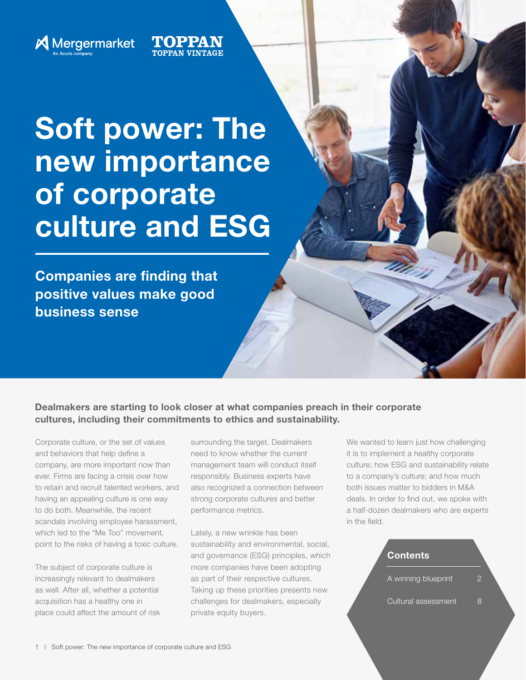

# Soft power: The new importance of corporate culture and ESG

TOPPAN

Companies are finding that positive values make good business sense

Dealmakers are starting to look closer at what companies preach in their corporate cultures, including their commitments to ethics and sustainability.

Corporate culture, or the set of values and behaviors that help define a company, are more important now than ever. Firms are facing a crisis over how to retain and recruit talented workers, and having an appealing culture is one way to do both. Meanwhile, the recent scandals involving employee harassment, which led to the "Me Too" movement, point to the risks of having a toxic culture.

The subject of corporate culture is increasingly relevant to dealmakers as well. After all, whether a potential acquisition has a healthy one in place could affect the amount of risk surrounding the target. Dealmakers need to know whether the current management team will conduct itself responsibly. Business experts have also recognized a connection between strong corporate cultures and better performance metrics.

Lately, a new wrinkle has been sustainability and environmental, social, and governance (ESG) principles, which more companies have been adopting as part of their respective cultures. Taking up these priorities presents new challenges for dealmakers, especially private equity buyers.

We wanted to learn just how challenging it is to implement a healthy corporate culture; how ESG and sustainability relate to a company's culture; and how much both issues matter to bidders in M&A deals. In order to find out, we spoke with a half-dozen dealmakers who are experts in the field.

| <b>Contents</b>     |   |
|---------------------|---|
| A winning blueprint | 2 |
| Cultural assessment | Χ |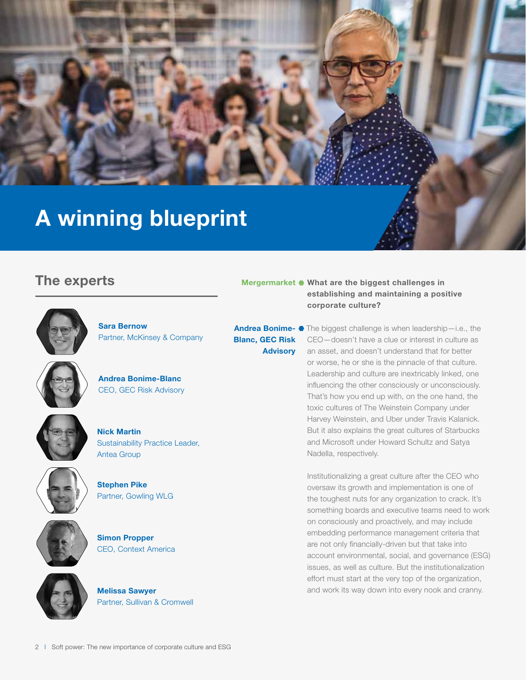# A winning blueprint

## The experts



Sara Bernow Partner, McKinsey & Company



Andrea Bonime-Blanc CEO, GEC Risk Advisory









Simon Propper CEO, Context America



Melissa Sawyer Partner, Sullivan & Cromwell

#### Mergermarket  $\bullet$  What are the biggest challenges in establishing and maintaining a positive corporate culture?

Blanc, GEC Risk Advisory

Andrea Bonime- • The biggest challenge is when leadership-i.e., the CEO—doesn't have a clue or interest in culture as an asset, and doesn't understand that for better or worse, he or she is the pinnacle of that culture. Leadership and culture are inextricably linked, one influencing the other consciously or unconsciously. That's how you end up with, on the one hand, the toxic cultures of The Weinstein Company under Harvey Weinstein, and Uber under Travis Kalanick. But it also explains the great cultures of Starbucks and Microsoft under Howard Schultz and Satya Nadella, respectively.

> Institutionalizing a great culture after the CEO who oversaw its growth and implementation is one of the toughest nuts for any organization to crack. It's something boards and executive teams need to work on consciously and proactively, and may include embedding performance management criteria that are not only financially-driven but that take into account environmental, social, and governance (ESG) issues, as well as culture. But the institutionalization effort must start at the very top of the organization, and work its way down into every nook and cranny.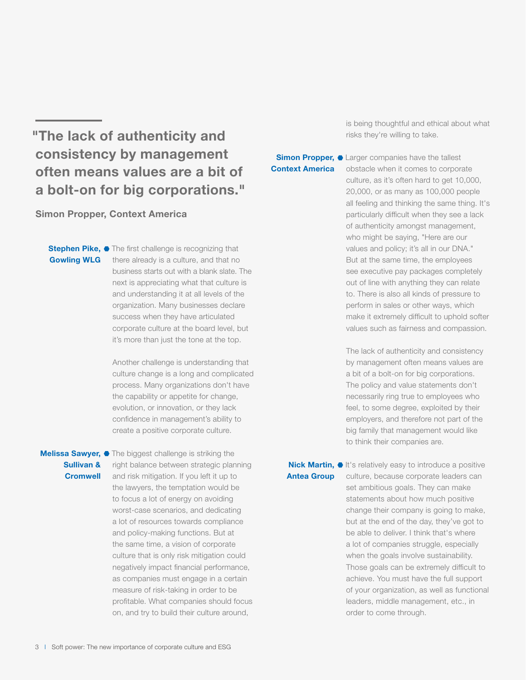## "The lack of authenticity and consistency by management often means values are a bit of a bolt-on for big corporations."

Simon Propper, Context America

Gowling WLG

Stephen Pike, • The first challenge is recognizing that there already is a culture, and that no business starts out with a blank slate. The next is appreciating what that culture is and understanding it at all levels of the organization. Many businesses declare success when they have articulated corporate culture at the board level, but it's more than just the tone at the top.

> Another challenge is understanding that culture change is a long and complicated process. Many organizations don't have the capability or appetite for change, evolution, or innovation, or they lack confidence in management's ability to create a positive corporate culture.

#### Melissa Sawyer, • The biggest challenge is striking the Sullivan & **Cromwell**

right balance between strategic planning and risk mitigation. If you left it up to the lawyers, the temptation would be to focus a lot of energy on avoiding worst-case scenarios, and dedicating a lot of resources towards compliance and policy-making functions. But at the same time, a vision of corporate culture that is only risk mitigation could negatively impact financial performance, as companies must engage in a certain measure of risk-taking in order to be profitable. What companies should focus on, and try to build their culture around,

is being thoughtful and ethical about what risks they're willing to take.

#### Simon Propper,  $\bullet$  Larger companies have the tallest Context America

obstacle when it comes to corporate culture, as it's often hard to get 10,000, 20,000, or as many as 100,000 people all feeling and thinking the same thing. It's particularly difficult when they see a lack of authenticity amongst management, who might be saying, "Here are our values and policy; it's all in our DNA." But at the same time, the employees see executive pay packages completely out of line with anything they can relate to. There is also all kinds of pressure to perform in sales or other ways, which make it extremely difficult to uphold softer values such as fairness and compassion.

The lack of authenticity and consistency by management often means values are a bit of a bolt-on for big corporations. The policy and value statements don't necessarily ring true to employees who feel, to some degree, exploited by their employers, and therefore not part of the big family that management would like to think their companies are.

Antea Group

Nick Martin, It's relatively easy to introduce a positive culture, because corporate leaders can set ambitious goals. They can make statements about how much positive change their company is going to make, but at the end of the day, they've got to be able to deliver. I think that's where a lot of companies struggle, especially when the goals involve sustainability. Those goals can be extremely difficult to achieve. You must have the full support of your organization, as well as functional leaders, middle management, etc., in order to come through.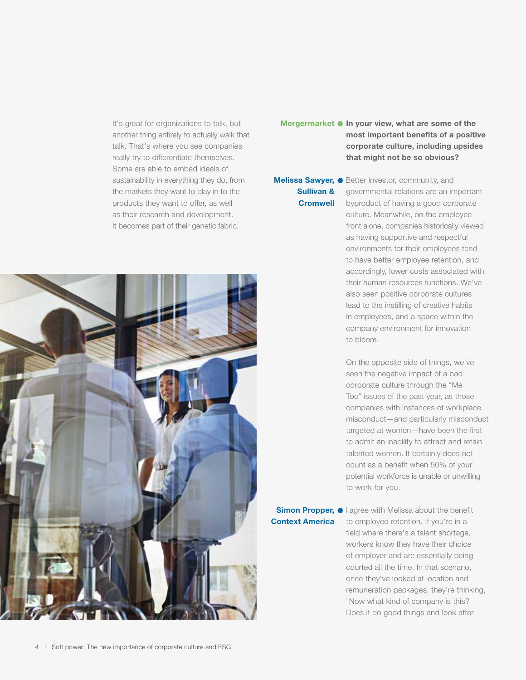It's great for organizations to talk, but another thing entirely to actually walk that talk. That's where you see companies really try to differentiate themselves. Some are able to embed ideals of sustainability in everything they do, from the markets they want to play in to the products they want to offer, as well as their research and development. It becomes part of their genetic fabric.



## Sullivan & **Cromwell**

Melissa Sawyer, • Better investor, community, and governmental relations are an important byproduct of having a good corporate culture. Meanwhile, on the employee front alone, companies historically viewed as having supportive and respectful environments for their employees tend to have better employee retention, and accordingly, lower costs associated with their human resources functions. We've also seen positive corporate cultures lead to the instilling of creative habits in employees, and a space within the company environment for innovation to bloom.

> On the opposite side of things, we've seen the negative impact of a bad corporate culture through the "Me Too" issues of the past year, as those companies with instances of workplace misconduct—and particularly misconduct targeted at women—have been the first to admit an inability to attract and retain talented women. It certainly does not count as a benefit when 50% of your potential workforce is unable or unwilling to work for you.

Context America

Simon Propper,  $\bullet$  I agree with Melissa about the benefit to employee retention. If you're in a field where there's a talent shortage, workers know they have their choice of employer and are essentially being courted all the time. In that scenario, once they've looked at location and remuneration packages, they're thinking, "Now what kind of company is this? Does it do good things and look after

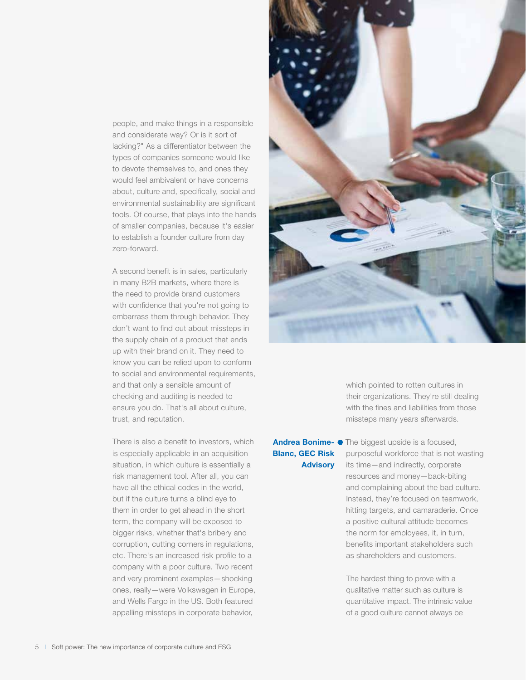people, and make things in a responsible and considerate way? Or is it sort of lacking?" As a differentiator between the types of companies someone would like to devote themselves to, and ones they would feel ambivalent or have concerns about, culture and, specifically, social and environmental sustainability are significant tools. Of course, that plays into the hands of smaller companies, because it's easier to establish a founder culture from day zero-forward.

A second benefit is in sales, particularly in many B2B markets, where there is the need to provide brand customers with confidence that you're not going to embarrass them through behavior. They don't want to find out about missteps in the supply chain of a product that ends up with their brand on it. They need to know you can be relied upon to conform to social and environmental requirements, and that only a sensible amount of checking and auditing is needed to ensure you do. That's all about culture, trust, and reputation.

There is also a benefit to investors, which is especially applicable in an acquisition situation, in which culture is essentially a risk management tool. After all, you can have all the ethical codes in the world, but if the culture turns a blind eye to them in order to get ahead in the short term, the company will be exposed to bigger risks, whether that's bribery and corruption, cutting corners in regulations, etc. There's an increased risk profile to a company with a poor culture. Two recent and very prominent examples—shocking ones, really—were Volkswagen in Europe, and Wells Fargo in the US. Both featured appalling missteps in corporate behavior,



which pointed to rotten cultures in their organizations. They're still dealing with the fines and liabilities from those missteps many years afterwards.

#### Blanc, GEC Risk **Advisory**

Andrea Bonime- • The biggest upside is a focused, purposeful workforce that is not wasting its time—and indirectly, corporate resources and money—back-biting and complaining about the bad culture. Instead, they're focused on teamwork, hitting targets, and camaraderie. Once a positive cultural attitude becomes the norm for employees, it, in turn, benefits important stakeholders such as shareholders and customers.

> The hardest thing to prove with a qualitative matter such as culture is quantitative impact. The intrinsic value of a good culture cannot always be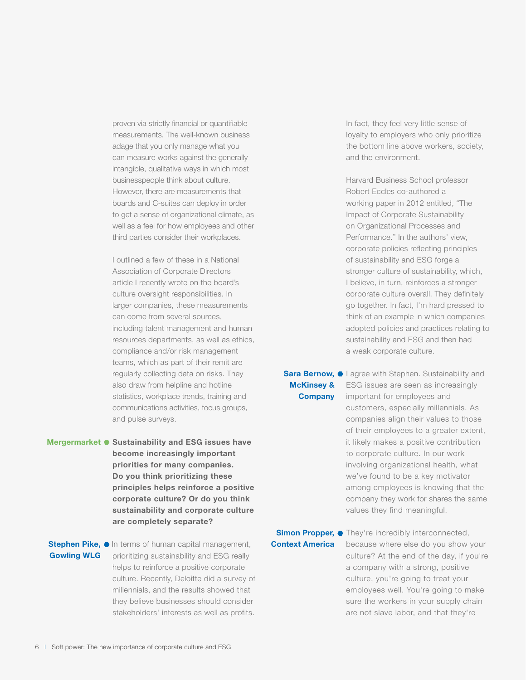proven via strictly financial or quantifiable measurements. The well-known business adage that you only manage what you can measure works against the generally intangible, qualitative ways in which most businesspeople think about culture. However, there are measurements that boards and C-suites can deploy in order to get a sense of organizational climate, as well as a feel for how employees and other third parties consider their workplaces.

I outlined a few of these in a National Association of Corporate Directors article I recently wrote on the board's culture oversight responsibilities. In larger companies, these measurements can come from several sources, including talent management and human resources departments, as well as ethics, compliance and/or risk management teams, which as part of their remit are regularly collecting data on risks. They also draw from helpline and hotline statistics, workplace trends, training and communications activities, focus groups, and pulse surveys.

Mergermarket • Sustainability and ESG issues have become increasingly important priorities for many companies. Do you think prioritizing these principles helps reinforce a positive corporate culture? Or do you think sustainability and corporate culture are completely separate?

## Gowling WLG

Stephen Pike,  $\bullet$  In terms of human capital management, prioritizing sustainability and ESG really helps to reinforce a positive corporate culture. Recently, Deloitte did a survey of millennials, and the results showed that they believe businesses should consider stakeholders' interests as well as profits.

In fact, they feel very little sense of loyalty to employers who only prioritize the bottom line above workers, society, and the environment.

Harvard Business School professor Robert Eccles co-authored a working paper in 2012 entitled, "The Impact of Corporate Sustainability on Organizational Processes and Performance." In the authors' view, corporate policies reflecting principles of sustainability and ESG forge a stronger culture of sustainability, which, I believe, in turn, reinforces a stronger corporate culture overall. They definitely go together. In fact, I'm hard pressed to think of an example in which companies adopted policies and practices relating to sustainability and ESG and then had a weak corporate culture.

## McKinsey & **Company**

Sara Bernow, I agree with Stephen. Sustainability and ESG issues are seen as increasingly important for employees and customers, especially millennials. As companies align their values to those of their employees to a greater extent, it likely makes a positive contribution to corporate culture. In our work involving organizational health, what we've found to be a key motivator among employees is knowing that the company they work for shares the same values they find meaningful.

## Context America

Simon Propper, • They're incredibly interconnected, because where else do you show your culture? At the end of the day, if you're a company with a strong, positive culture, you're going to treat your employees well. You're going to make sure the workers in your supply chain are not slave labor, and that they're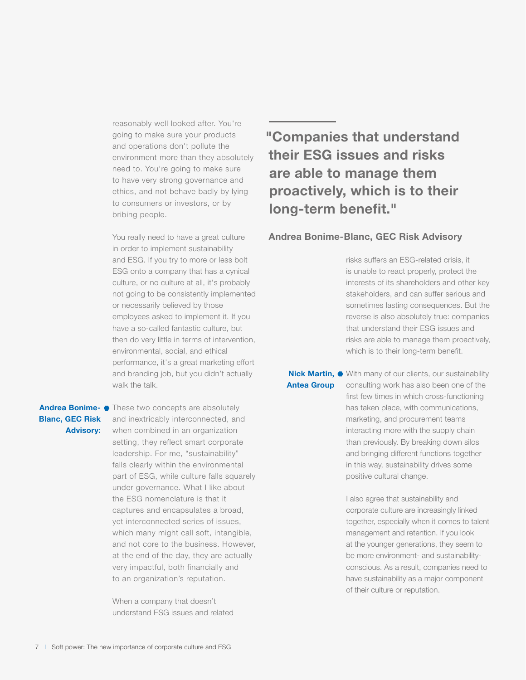reasonably well looked after. You're going to make sure your products and operations don't pollute the environment more than they absolutely need to. You're going to make sure to have very strong governance and ethics, and not behave badly by lying to consumers or investors, or by bribing people.

You really need to have a great culture in order to implement sustainability and ESG. If you try to more or less bolt ESG onto a company that has a cynical culture, or no culture at all, it's probably not going to be consistently implemented or necessarily believed by those employees asked to implement it. If you have a so-called fantastic culture, but then do very little in terms of intervention, environmental, social, and ethical performance, it's a great marketing effort and branding job, but you didn't actually walk the talk.

#### Andrea Bonime- • These two concepts are absolutely Blanc, GEC Risk Advisory:

and inextricably interconnected, and when combined in an organization setting, they reflect smart corporate leadership. For me, "sustainability" falls clearly within the environmental part of ESG, while culture falls squarely under governance. What I like about the ESG nomenclature is that it captures and encapsulates a broad, yet interconnected series of issues, which many might call soft, intangible, and not core to the business. However, at the end of the day, they are actually very impactful, both financially and to an organization's reputation.

When a company that doesn't understand ESG issues and related

## "Companies that understand their ESG issues and risks are able to manage them proactively, which is to their long-term benefit."

#### Andrea Bonime-Blanc, GEC Risk Advisory

risks suffers an ESG-related crisis, it is unable to react properly, protect the interests of its shareholders and other key stakeholders, and can suffer serious and sometimes lasting consequences. But the reverse is also absolutely true: companies that understand their ESG issues and risks are able to manage them proactively, which is to their long-term benefit.

Antea Group

Nick Martin,  $\bullet$  With many of our clients, our sustainability consulting work has also been one of the first few times in which cross-functioning has taken place, with communications, marketing, and procurement teams interacting more with the supply chain than previously. By breaking down silos and bringing different functions together in this way, sustainability drives some positive cultural change.

> I also agree that sustainability and corporate culture are increasingly linked together, especially when it comes to talent management and retention. If you look at the younger generations, they seem to be more environment- and sustainabilityconscious. As a result, companies need to have sustainability as a major component of their culture or reputation.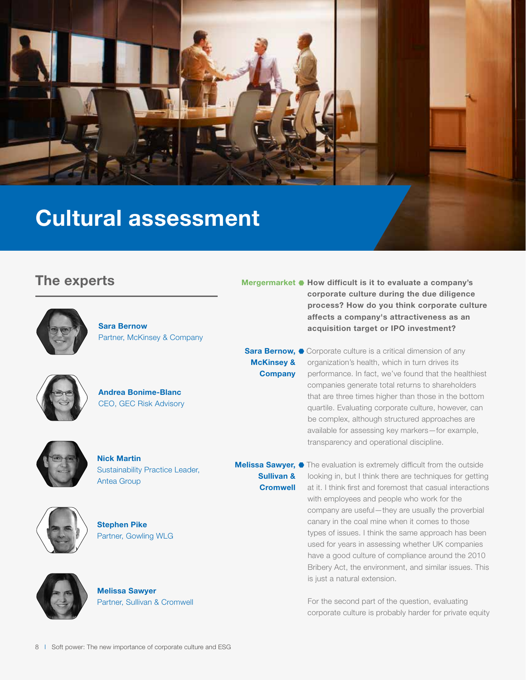

Sullivan & **Cromwell** 

## The experts



Sara Bernow Partner, McKinsey & Company



Andrea Bonime-Blanc CEO, GEC Risk Advisory



Nick Martin Sustainability Practice Leader, Antea Group



Stephen Pike Partner, Gowling WLG



Melissa Sawyer Partner, Sullivan & Cromwell Mergermarket  $\bullet$  How difficult is it to evaluate a company's corporate culture during the due diligence process? How do you think corporate culture affects a company's attractiveness as an acquisition target or IPO investment?

Sara Bernow,  $\bullet$  Corporate culture is a critical dimension of any organization's health, which in turn drives its performance. In fact, we've found that the healthiest companies generate total returns to shareholders that are three times higher than those in the bottom quartile. Evaluating corporate culture, however, can be complex, although structured approaches are available for assessing key markers—for example, transparency and operational discipline. McKinsey & **Company** 

Melissa Sawyer, • The evaluation is extremely difficult from the outside looking in, but I think there are techniques for getting at it. I think first and foremost that casual interactions with employees and people who work for the company are useful—they are usually the proverbial canary in the coal mine when it comes to those types of issues. I think the same approach has been used for years in assessing whether UK companies have a good culture of compliance around the 2010 Bribery Act, the environment, and similar issues. This is just a natural extension.

> For the second part of the question, evaluating corporate culture is probably harder for private equity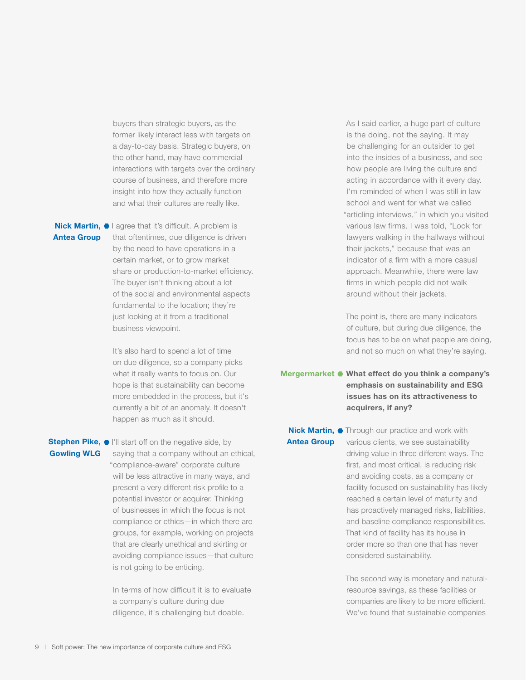buyers than strategic buyers, as the former likely interact less with targets on a day-to-day basis. Strategic buyers, on the other hand, may have commercial interactions with targets over the ordinary course of business, and therefore more insight into how they actually function and what their cultures are really like.

## Antea Group

Nick Martin, I agree that it's difficult. A problem is that oftentimes, due diligence is driven by the need to have operations in a certain market, or to grow market share or production-to-market efficiency. The buyer isn't thinking about a lot of the social and environmental aspects fundamental to the location; they're just looking at it from a traditional business viewpoint.

> It's also hard to spend a lot of time on due diligence, so a company picks what it really wants to focus on. Our hope is that sustainability can become more embedded in the process, but it's currently a bit of an anomaly. It doesn't happen as much as it should.

#### Stephen Pike,  $\bullet$  I'll start off on the negative side, by Gowling WLG

saying that a company without an ethical, "compliance-aware" corporate culture will be less attractive in many ways, and present a very different risk profile to a potential investor or acquirer. Thinking of businesses in which the focus is not compliance or ethics—in which there are groups, for example, working on projects that are clearly unethical and skirting or avoiding compliance issues—that culture is not going to be enticing.

In terms of how difficult it is to evaluate a company's culture during due diligence, it's challenging but doable.

As I said earlier, a huge part of culture is the doing, not the saying. It may be challenging for an outsider to get into the insides of a business, and see how people are living the culture and acting in accordance with it every day. I'm reminded of when I was still in law school and went for what we called "articling interviews," in which you visited various law firms. I was told, "Look for lawyers walking in the hallways without their jackets," because that was an indicator of a firm with a more casual approach. Meanwhile, there were law firms in which people did not walk around without their jackets.

The point is, there are many indicators of culture, but during due diligence, the focus has to be on what people are doing, and not so much on what they're saying.

Mergermarket  $\bullet$  What effect do you think a company's emphasis on sustainability and ESG issues has on its attractiveness to acquirers, if any?

## Antea Group

**Nick Martin, •** Through our practice and work with various clients, we see sustainability driving value in three different ways. The first, and most critical, is reducing risk and avoiding costs, as a company or facility focused on sustainability has likely reached a certain level of maturity and has proactively managed risks, liabilities, and baseline compliance responsibilities. That kind of facility has its house in order more so than one that has never considered sustainability.

> The second way is monetary and naturalresource savings, as these facilities or companies are likely to be more efficient. We've found that sustainable companies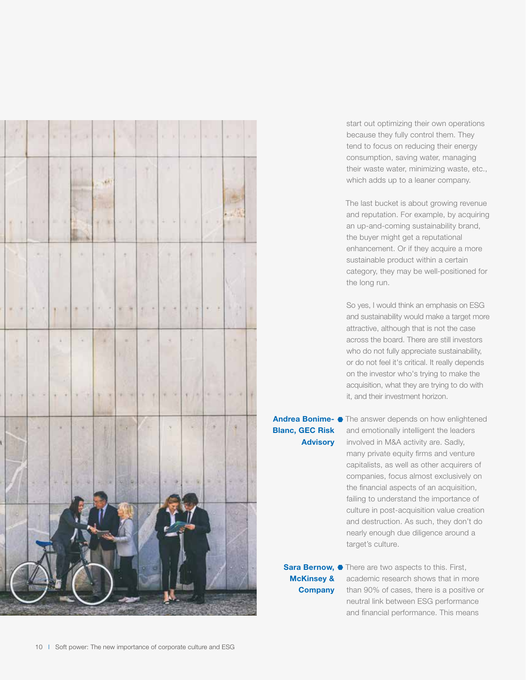

start out optimizing their own operations because they fully control them. They tend to focus on reducing their energy consumption, saving water, managing their waste water, minimizing waste, etc., which adds up to a leaner company.

The last bucket is about growing revenue and reputation. For example, by acquiring an up-and-coming sustainability brand, the buyer might get a reputational enhancement. Or if they acquire a more sustainable product within a certain category, they may be well-positioned for the long run.

So yes, I would think an emphasis on ESG and sustainability would make a target more attractive, although that is not the case across the board. There are still investors who do not fully appreciate sustainability, or do not feel it's critical. It really depends on the investor who's trying to make the acquisition, what they are trying to do with it, and their investment horizon.

## Blanc, GEC Risk Advisory

Andrea Bonime- • The answer depends on how enlightened and emotionally intelligent the leaders involved in M&A activity are. Sadly, many private equity firms and venture capitalists, as well as other acquirers of companies, focus almost exclusively on the financial aspects of an acquisition, failing to understand the importance of culture in post-acquisition value creation and destruction. As such, they don't do nearly enough due diligence around a target's culture.

McKinsey & **Company** 

Sara Bernow, • There are two aspects to this. First, academic research shows that in more than 90% of cases, there is a positive or neutral link between ESG performance and financial performance. This means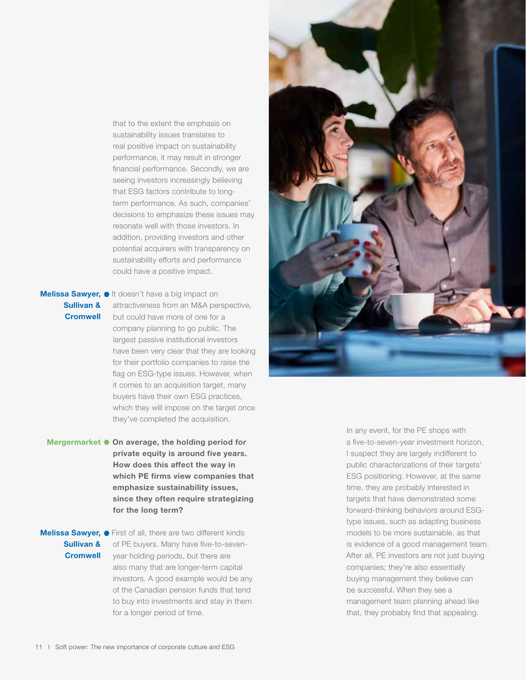that to the extent the emphasis on sustainability issues translates to real positive impact on sustainability performance, it may result in stronger financial performance. Secondly, we are seeing investors increasingly believing that ESG factors contribute to longterm performance. As such, companies' decisions to emphasize these issues may resonate well with those investors. In addition, providing investors and other potential acquirers with transparency on sustainability efforts and performance could have a positive impact.

#### Melissa Sawyer, It doesn't have a big impact on Sullivan & **Cromwell**

attractiveness from an M&A perspective, but could have more of one for a company planning to go public. The largest passive institutional investors have been very clear that they are looking for their portfolio companies to raise the flag on ESG-type issues. However, when it comes to an acquisition target, many buyers have their own ESG practices, which they will impose on the target once they've completed the acquisition.

Mergermarket  $\bullet$  On average, the holding period for private equity is around five years. How does this affect the way in which PE firms view companies that emphasize sustainability issues, since they often require strategizing for the long term?

Sullivan & **Cromwell** 

Melissa Sawyer,  $\bullet$  First of all, there are two different kinds of PE buyers. Many have five-to-sevenyear holding periods, but there are also many that are longer-term capital investors. A good example would be any of the Canadian pension funds that tend to buy into investments and stay in them for a longer period of time.

In any event, for the PE shops with a five-to-seven-year investment horizon, I suspect they are largely indifferent to public characterizations of their targets' ESG positioning. However, at the same time, they are probably interested in targets that have demonstrated some forward-thinking behaviors around ESGtype issues, such as adapting business models to be more sustainable, as that is evidence of a good management team. After all, PE investors are not just buying companies; they're also essentially buying management they believe can be successful. When they see a management team planning ahead like that, they probably find that appealing.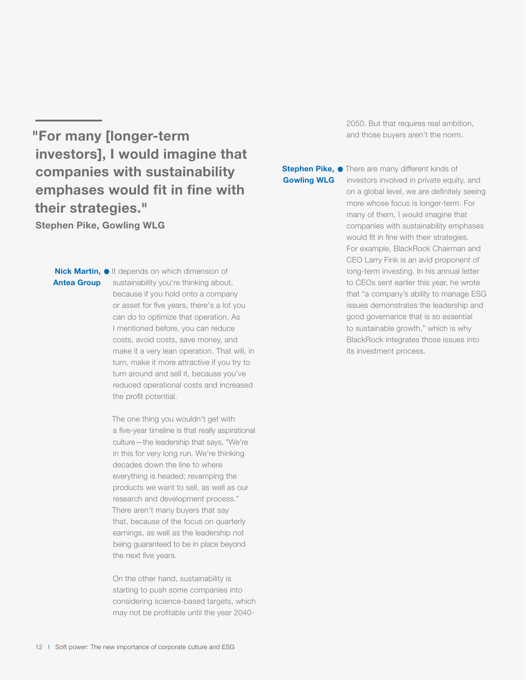"For many [longer-term investors], I would imagine that companies with sustainability emphases would fit in fine with their strategies."

Stephen Pike, Gowling WLG

#### Nick Martin, It depends on which dimension of Antea Group

sustainability you're thinking about, because if you hold onto a company or asset for five years, there's a lot you can do to optimize that operation. As I mentioned before, you can reduce costs, avoid costs, save money, and make it a very lean operation. That will, in turn, make it more attractive if you try to turn around and sell it, because you've reduced operational costs and increased the profit potential.

The one thing you wouldn't get with a five-year timeline is that really aspirational culture—the leadership that says, "We're in this for very long run. We're thinking decades down the line to where everything is headed; revamping the products we want to sell, as well as our research and development process." There aren't many buyers that say that, because of the focus on quarterly earnings, as well as the leadership not being guaranteed to be in place beyond the next five years.

On the other hand, sustainability is starting to push some companies into considering science-based targets, which may not be profitable until the year 20402050. But that requires real ambition, and those buyers aren't the norm.

#### Stephen Pike, • There are many different kinds of Gowling WLG

investors involved in private equity, and on a global level, we are definitely seeing more whose focus is longer-term. For many of them, I would imagine that companies with sustainability emphases would fit in fine with their strategies. For example, BlackRock Chairman and CEO Larry Fink is an avid proponent of long-term investing. In his annual letter to CEOs sent earlier this year, he wrote that "a company's ability to manage ESG issues demonstrates the leadership and good governance that is so essential to sustainable growth," which is why BlackRock integrates those issues into its investment process.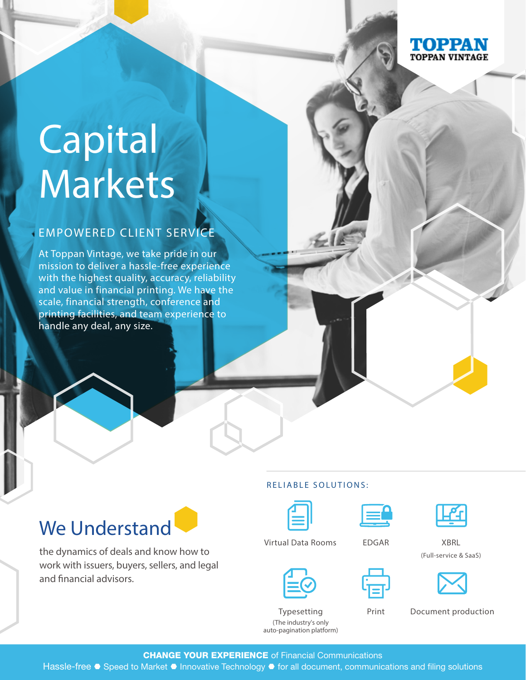

# Capital Markets

#### EMPOWERED CLIENT SERVICE

At Toppan Vintage, we take pride in our mission to deliver a hassle-free experience with the highest quality, accuracy, reliability and value in financial printing. We have the scale, financial strength, conference and printing facilities, and team experience to handle any deal, any size.

# We Understand

the dynamics of deals and know how to work with issuers, buyers, sellers, and legal and financial advisors.

#### RELIABLE SOLUTIONS:







Virtual Data Rooms EDGAR XBRL (Full-service & SaaS)

| _ |  |
|---|--|
|   |  |

Print Document production

Typesetting (The industry's only auto-pagination platform)

**CHANGE YOUR EXPERIENCE** of Financial Communications

Hassle-free • Speed to Market • Innovative Technology • for all document, communications and filing solutions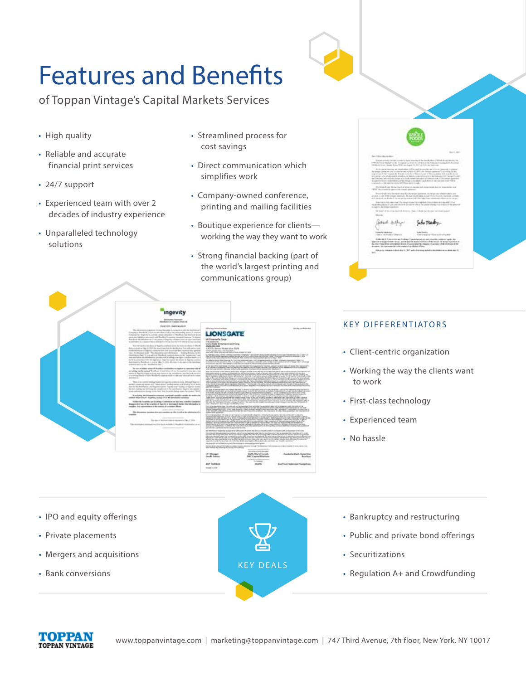# Features and Benefits

of Toppan Vintage's Capital Markets Services

- High quality
- Reliable and accurate financial print services
- 24/7 support
- Experienced team with over 2 decades of industry experience
- Unparalleled technology solutions
- Streamlined process for cost savings
- Direct communication which simplifies work
- Company-owned conference, printing and mailing facilities
- Boutique experience for clients working the way they want to work
- Strong financial backing (part of the world's largest printing and communications group)

|           | Bart, Atri                                                                                                                                                                                                                                                                                                                                            |
|-----------|-------------------------------------------------------------------------------------------------------------------------------------------------------------------------------------------------------------------------------------------------------------------------------------------------------------------------------------------------------|
|           | Den Vikin Bernbeller:<br>The process of constitution of a state state of the further link of the first final district for                                                                                                                                                                                                                             |
|           | 1491 B. Ford: Ranket' by Bri T. (1949 to "Links and Statistic Def Company) involving an excess and<br>DRAINING BAN San DR an Law 9.01 p 0.01 a last ca-                                                                                                                                                                                               |
|           | The fire deviations are detected to individual to consider and mix on terms out to prevail<br>the temper curriculus con in charge by the only first (1) 2017 city. In appropriate will be contained by the                                                                                                                                            |
|           | expiring if the Lagran by Robert Link De Chemich and C. The excellent tolk or ac by brack<br>and states of a stuff maked articles, or independent who ad to the formation of the party is and<br>the Collection and Collection and a state the manual accordance of Addictional and Contrast apparature                                               |
|           | a plane to the country and due to be country and the country result of the country of<br>interested this did not have attended three identities ad-                                                                                                                                                                                                   |
|           | The Bright Progress Model Hard of structure specific and close model decision chapabilities to all<br>1974 Motivened's given in track service.                                                                                                                                                                                                        |
| ×         | The construction in most charging places accurate to the sense and observations and<br>abolish a call of the bodge parentees. By approximations to built this or fit, since standing a relation<br>and stated in dealer 1 to an an automotive transfer in this and information of the control of                                                      |
|           | Anarched and color-reset. The street in each tele computed (international and absurably of the<br>manufacture of an executive design and a change resident of the present<br>to capacity the temper superior of                                                                                                                                       |
|           | The langest of the set on the disk determined and particle containing the product of the first section of the set of                                                                                                                                                                                                                                  |
|           | <b>The Color</b>                                                                                                                                                                                                                                                                                                                                      |
|           |                                                                                                                                                                                                                                                                                                                                                       |
|           | <b>Single Network</b><br>Are Notes                                                                                                                                                                                                                                                                                                                    |
|           | 4 Text Support Editor and Andrewan<br>High of the fough of Higgston.                                                                                                                                                                                                                                                                                  |
|           | that the first discussion and the longer three change in a sub-selection<br>the conductor made a fac-<br>expect to hispanicity range points got to prob a children's the longer to acquire an ac-<br>A city material promptant from trade class to library in access of the duties to be<br>. Browns, he recovering to browners is published affairs. |
| $-$ limit | the just a means is detailed in the "and is the energies that a manifest or as about the 31.                                                                                                                                                                                                                                                          |
|           |                                                                                                                                                                                                                                                                                                                                                       |
|           |                                                                                                                                                                                                                                                                                                                                                       |
|           |                                                                                                                                                                                                                                                                                                                                                       |



#### KEY DIFFERENTIATORS

- Client-centric organization
- Working the way the clients want to work
- First-class technology
- Experienced team
- No hassle

- IPO and equity offerings
- Private placements
- Mergers and acquisitions
- Bank conversions

KEY DEALS

- Bankruptcy and restructuring
- Public and private bond offerings
- Securitizations
- Regulation A+ and Crowdfunding

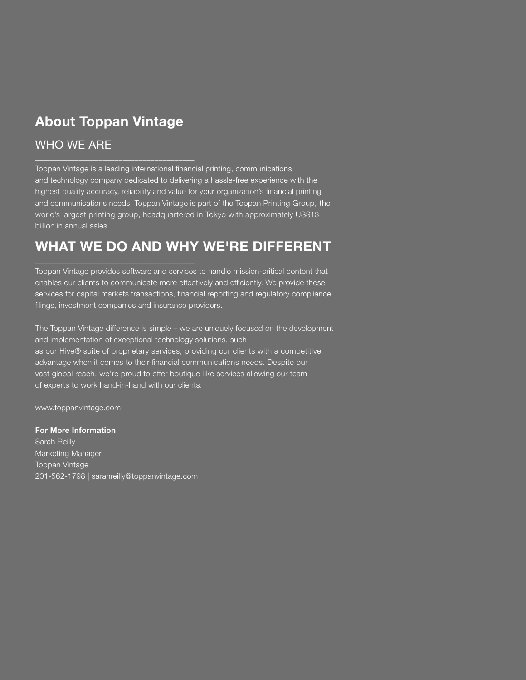## About Toppan Vintage

\_\_\_\_\_\_\_\_\_\_\_\_\_\_\_\_\_\_\_\_\_\_\_\_\_\_\_\_\_\_\_\_\_\_\_\_\_\_\_\_

\_\_\_\_\_\_\_\_\_\_\_\_\_\_\_\_\_\_\_\_\_\_\_\_\_\_\_\_\_\_\_\_\_\_\_\_\_\_\_\_

#### WHO WE ARE

Toppan Vintage is a leading international financial printing, communications and technology company dedicated to delivering a hassle-free experience with the highest quality accuracy, reliability and value for your organization's financial printing and communications needs. Toppan Vintage is part of the Toppan Printing Group, the world's largest printing group, headquartered in Tokyo with approximately US\$13 billion in annual sales.

## WHAT WE DO AND WHY WE'RE DIFFERENT

Toppan Vintage provides software and services to handle mission-critical content that enables our clients to communicate more effectively and efficiently. We provide these services for capital markets transactions, financial reporting and regulatory compliance filings, investment companies and insurance providers.

The Toppan Vintage difference is simple – we are uniquely focused on the development and implementation of exceptional technology solutions, such as our Hive® suite of proprietary services, providing our clients with a competitive advantage when it comes to their financial communications needs. Despite our vast global reach, we're proud to offer boutique-like services allowing our team of experts to work hand-in-hand with our clients.

www.toppanvintage.com

For More Information Sarah Reilly Marketing Manager Toppan Vintage 201-562-1798 | sarahreilly@toppanvintage.com